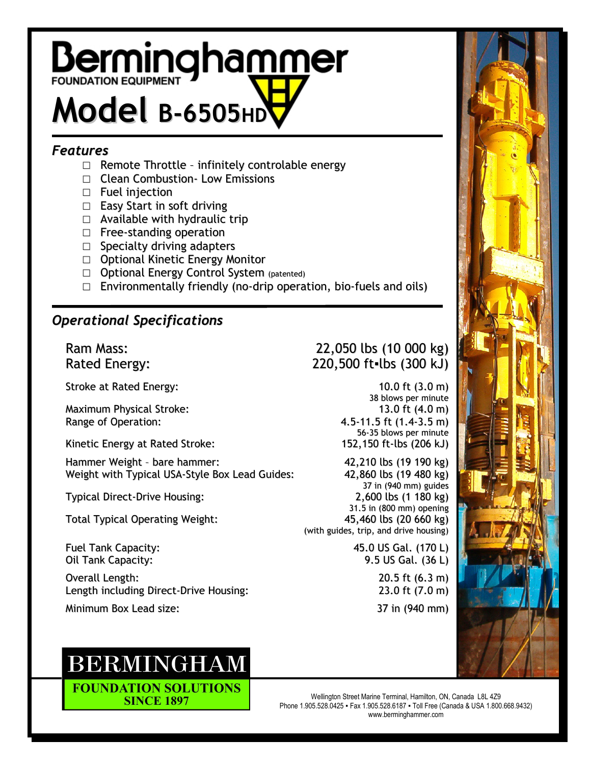# **Berminghammer** Model **B-6505HD**

#### *Features*

- $\Box$  Remote Throttle infinitely controlable energy
- □ Clean Combustion Low Emissions
- □ Fuel injection
- □ Easy Start in soft driving
- $\Box$  Available with hydraulic trip
- □ Free-standing operation
- □ Specialty driving adapters
- □ Optional Kinetic Energy Monitor
- □ Optional Energy Control System (patented)
- $\square$  Environmentally friendly (no-drip operation, bio-fuels and oils)

## *Operational Specifications*

Stroke at Rated Energy: 10.0 ft (3.0 m)

Maximum Physical Stroke: 13.0 ft (4.0 m) Range of Operation: 4.5-11.5 ft (1.4-3.5 m)

Kinetic Energy at Rated Stroke: 152,150 ft-lbs (206 kJ)

Hammer Weight - bare hammer: 42,210 lbs (19 190 kg)<br>Weight with Typical USA-Style Box Lead Guides: 42,860 lbs (19 480 kg) Weight with Typical USA-Style Box Lead Guides:

Total Typical Operating Weight: 45,460 lbs (20 660 kg)

Overall Length: 20.5 ft (6.3 m)<br>
Length including Direct-Drive Housing: 23.0 ft (7.0 m) Length including Direct-Drive Housing:

Minimum Box Lead size: 37 in (940 mm)

# **BERMINGHAM**

**FOUNDATION SOLUTIONS SINCE 1897** 

### Ram Mass: 22,050 lbs (10 000 kg) Rated Energy: 220,500 ft=lbs (300 kJ)

38 blows per minute 56-35 blows per minute

37 in (940 mm) guides Typical Direct-Drive Housing: 2,600 lbs (1 180 kg) 31.5 in (800 mm) opening (with guides, trip, and drive housing)

Fuel Tank Capacity: 45.0 US Gal. (170 L) Oil Tank Capacity: 9.5 US Gal. (36 L)



Wellington Street Marine Terminal, Hamilton, ON, Canada L8L 4Z9 Phone 1.905.528.0425 ▪ Fax 1.905.528.6187 ▪ Toll Free (Canada & USA 1.800.668.9432) www.berminghammer.com